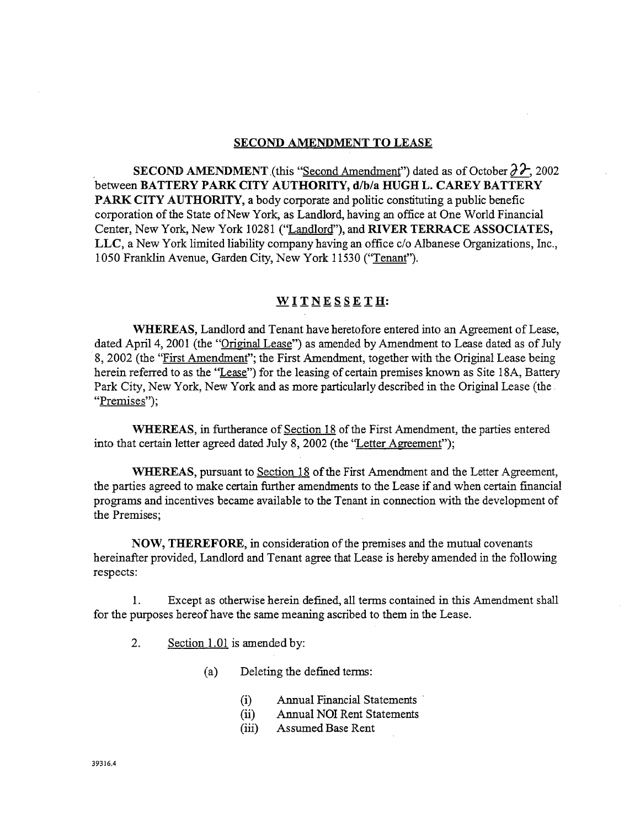#### **SECOND AMENDMENT TO LEASE**

SECOND AMENDMENT (this "Second Amendment") dated as of October  $\partial \mathcal{F}$ , 2002 between BATTERY PARK CITY AUTHORITY, d/b/a HUGH L. CAREY BATTERY **PARK CITY AUTHORITY, a body corporate and politic constituting a public benefic** corporation of the State of New York, as Landlord, having an office at One World Financial Center, New York, New York 10281 ("Landlord"), and RIVER TERRACE ASSOCIATES, LLC, a New York limited liability company having an office c/o Albanese Organizations, Inc., 1050 Franklin Avenue, Garden City, New York 11530 ("Tenant").

### WITNESSETH:

WHEREAS, Landlord and Tenant have heretofore entered into an Agreement of Lease, dated April 4, 2001 (the "Original Lease") as amended by Amendment to Lease dated as of July 8, 2002 (the "First Amendment"; the First Amendment, together with the Original Lease being herein referred to as the "Lease") for the leasing of certain premises known as Site 18A, Battery Park City, New York, New York and as more particularly described in the Original Lease (the "Premises");

**WHEREAS**, in furtherance of Section 18 of the First Amendment, the parties entered into that certain letter agreed dated July 8, 2002 (the "Letter Agreement");

WHEREAS, pursuant to Section 18 of the First Amendment and the Letter Agreement, the parties agreed to make certain further amendments to the Lease if and when certain financial programs and incentives became available to the Tenant in connection with the development of the Premises:

NOW, THEREFORE, in consideration of the premises and the mutual covenants hereinafter provided, Landlord and Tenant agree that Lease is hereby amended in the following respects:

Except as otherwise herein defined, all terms contained in this Amendment shall  $1_{-}$ for the purposes hereof have the same meaning ascribed to them in the Lease.

 $2.$ Section 1.01 is amended by:

> $(a)$ Deleting the defined terms:

- Annual Financial Statements  $(i)$
- **Annual NOI Rent Statements**  $(ii)$
- $(iii)$ Assumed Base Rent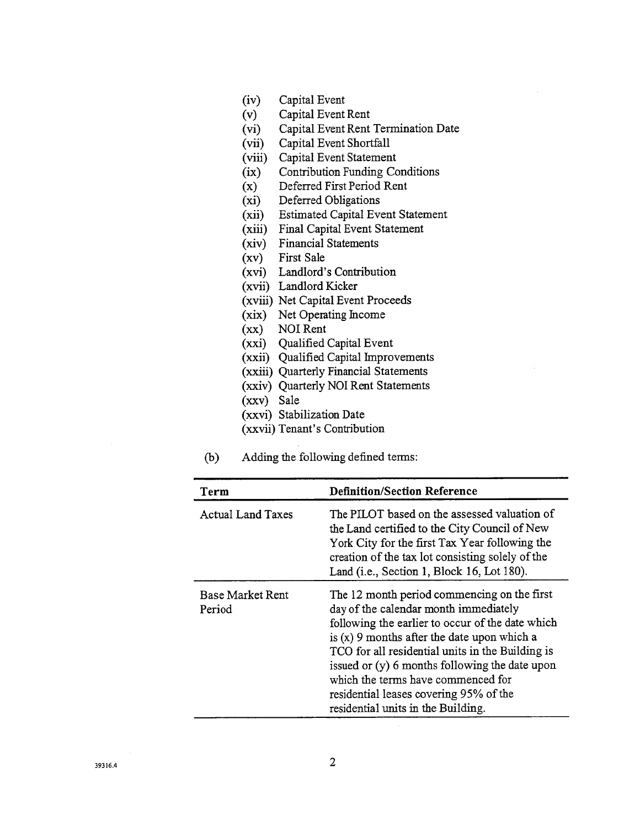- (iv) Capital Event<br>(v) Capital Event
- Capital Event Rent
- (vi) Capital Event Rent Termi**n**ation Date
- (vii) Capital Event Shortfall
- (viii) Capital Event Statement<br>(ix) Contribution Funding Co
- (ix) Contribution Funding Conditions<br>(x) Deferred First Period Rent
- (x) Deferred First Period Rent<br>(xi) Deferred Obligations
- Deferred Obligations
- (xii) Estimated Capital Event Statement
- (xiii) Fi**n**al Capital Event Statement
- (xiv) Financial Statements<br>(xv) First Sale
- First Sale
- (xvi) Landlord's Contribution
- (xvii) Landlord Kicker
- (xviii) Net Capital Event Proceeds
- (xix) Net Operating Income
- (xx) NOI Rent
- (xxi) Qualified Capital Event
- (xxii) Qualified Capital Improvements
- (xxiii) Quarterly Financial Statements
- (xxiv) Quarterly NOI Rent Statements
- (xxv) Sale
- (xxvi) Stabilization Date
- (xxvii) Tenant's Contribution
- C*o*) Adding t**h**e following defined terms:

| Term                              | <b>Definition/Section Reference</b>                                                                                                                                                                                                                                                                                                                                                                                   |
|-----------------------------------|-----------------------------------------------------------------------------------------------------------------------------------------------------------------------------------------------------------------------------------------------------------------------------------------------------------------------------------------------------------------------------------------------------------------------|
| <b>Actual Land Taxes</b>          | The PILOT based on the assessed valuation of<br>the Land certified to the City Council of New<br>York City for the first Tax Year following the<br>creation of the tax lot consisting solely of the<br>Land (i.e., Section 1, Block 16, Lot 180).                                                                                                                                                                     |
| <b>Base Market Rent</b><br>Period | The 12 month period commencing on the first<br>day of the calendar month immediately<br>following the earlier to occur of the date which<br>is $(x)$ 9 months after the date upon which a<br>TCO for all residential units in the Building is<br>issued or (y) 6 months following the date upon<br>which the terms have commenced for<br>residential leases covering 95% of the<br>residential units in the Building. |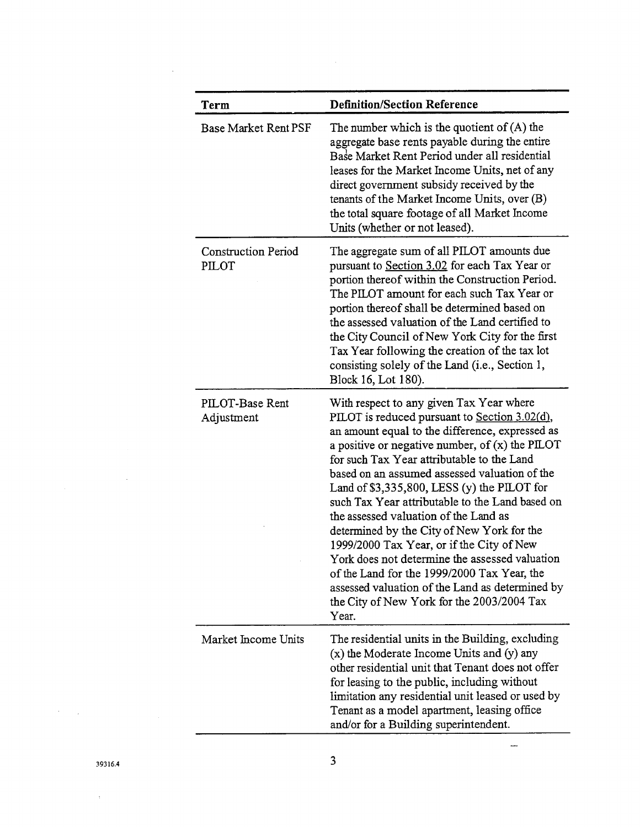| Term                                | <b>Definition/Section Reference</b>                                                                                                                                                                                                                                                                                                                                                                                                                                                                                                                                                                                                                                                                                                                 |
|-------------------------------------|-----------------------------------------------------------------------------------------------------------------------------------------------------------------------------------------------------------------------------------------------------------------------------------------------------------------------------------------------------------------------------------------------------------------------------------------------------------------------------------------------------------------------------------------------------------------------------------------------------------------------------------------------------------------------------------------------------------------------------------------------------|
| <b>Base Market Rent PSF</b>         | The number which is the quotient of $(A)$ the<br>aggregate base rents payable during the entire<br>Base Market Rent Period under all residential<br>leases for the Market Income Units, net of any<br>direct government subsidy received by the<br>tenants of the Market Income Units, over (B)<br>the total square footage of all Market Income<br>Units (whether or not leased).                                                                                                                                                                                                                                                                                                                                                                  |
| <b>Construction Period</b><br>PILOT | The aggregate sum of all PILOT amounts due<br>pursuant to Section 3.02 for each Tax Year or<br>portion thereof within the Construction Period.<br>The PILOT amount for each such Tax Year or<br>portion thereof shall be determined based on<br>the assessed valuation of the Land certified to<br>the City Council of New York City for the first<br>Tax Year following the creation of the tax lot<br>consisting solely of the Land (i.e., Section 1,<br>Block 16, Lot 180).                                                                                                                                                                                                                                                                      |
| PILOT-Base Rent<br>Adjustment       | With respect to any given Tax Year where<br>PILOT is reduced pursuant to Section 3.02(d),<br>an amount equal to the difference, expressed as<br>a positive or negative number, of $(x)$ the PILOT<br>for such Tax Year attributable to the Land<br>based on an assumed assessed valuation of the<br>Land of $$3,335,800$ , LESS (y) the PILOT for<br>such Tax Year attributable to the Land based on<br>the assessed valuation of the Land as<br>determined by the City of New York for the<br>1999/2000 Tax Year, or if the City of New<br>York does not determine the assessed valuation<br>of the Land for the 1999/2000 Tax Year, the<br>assessed valuation of the Land as determined by<br>the City of New York for the 2003/2004 Tax<br>Year. |
| Market Income Units                 | The residential units in the Building, excluding<br>$(x)$ the Moderate Income Units and $(y)$ any<br>other residential unit that Tenant does not offer<br>for leasing to the public, including without<br>limitation any residential unit leased or used by<br>Tenant as a model apartment, leasing office<br>and/or for a Building superintendent.                                                                                                                                                                                                                                                                                                                                                                                                 |

 $\hat{\mathcal{A}}$ 

 $\mathcal{A}=\mathcal{A}$ 

 $\bar{\beta}$ 

 $\bar{z}$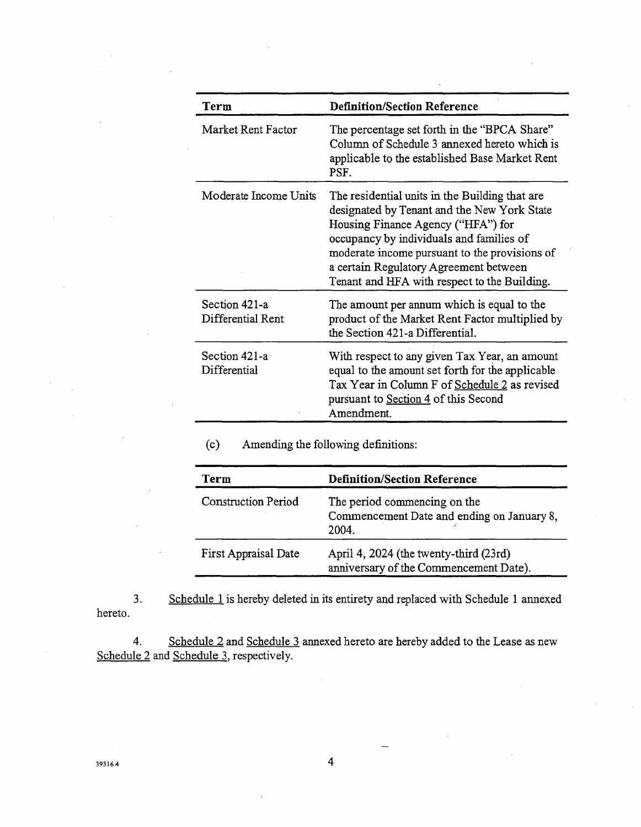| Term                               | <b>Definition/Section Reference</b>                                                                                                                                                                                                                                                                                        |
|------------------------------------|----------------------------------------------------------------------------------------------------------------------------------------------------------------------------------------------------------------------------------------------------------------------------------------------------------------------------|
| Market Rent Factor                 | The percentage set forth in the "BPCA Share"<br>Column of Schedule 3 annexed hereto which is<br>applicable to the established Base Market Rent<br>PSF.                                                                                                                                                                     |
| Moderate Income Units              | The residential units in the Building that are<br>designated by Tenant and the New York State<br>Housing Finance Agency ("HFA") for<br>occupancy by individuals and families of<br>moderate income pursuant to the provisions of<br>a certain Regulatory Agreement between<br>Tenant and HFA with respect to the Building. |
| Section 421-a<br>Differential Rent | The amount per annum which is equal to the<br>product of the Market Rent Factor multiplied by<br>the Section 421-a Differential.                                                                                                                                                                                           |
| Section 421-a<br>Differential      | With respect to any given Tax Year, an amount<br>equal to the amount set forth for the applicable<br>Tax Year in Column F of Schedule 2 as revised<br>pursuant to Section 4 of this Second<br>Amendment.                                                                                                                   |

(c**)** *A*mending the following definitions:

| Term                       | <b>Definition/Section Reference</b>                                                 |  |  |
|----------------------------|-------------------------------------------------------------------------------------|--|--|
| <b>Construction Period</b> | The period commencing on the<br>Commencement Date and ending on January 8,<br>2004. |  |  |
| First Appraisal Date       | April 4, 2024 (the twenty-third (23rd)<br>anniversary of the Commencement Date).    |  |  |

3. Schedule 1 is hereby deleted in its entirety and replaced with Schedule 1 annexed hereto.

4. Schedule 2 and Schedule 3 annexed hereto are hereby added to the Lease as new Schedule 2 and Schedule 3, respectively.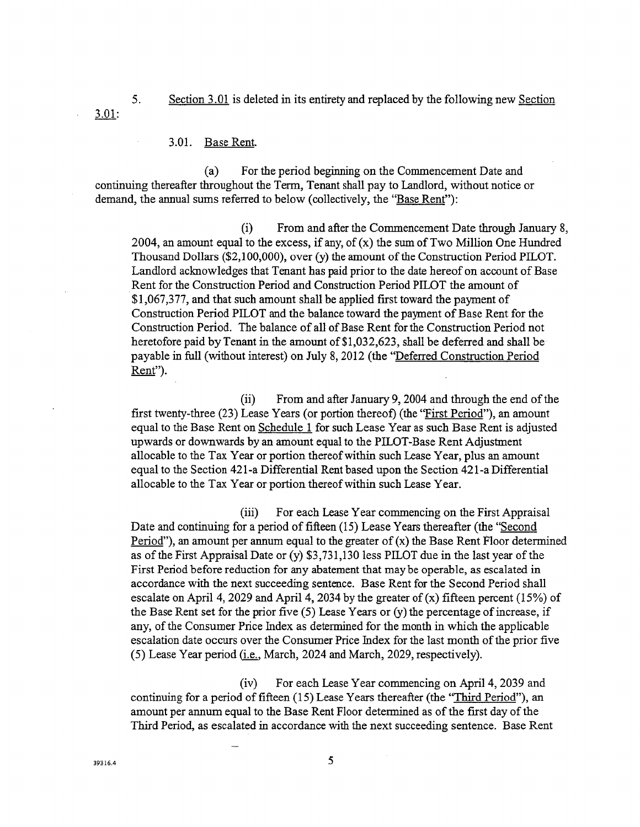- 5. Section 3.01 is deleted in its entirety and replaced by the following new Section 3.01:
	- 3.01. Base Rent.

(a) For the period beginning on the Commencement Date and continuing thereafter throughout the Term*,* Tenant shall pay to *L*andlord, without notice or demand, the annual sums referred to below (c*o*llectively, the "Base Rent"):

(i) From and after the Commencement Date through January 8, 2004, an amount equal to the excess, if any, of  $(x)$  the sum of Two Million One Hundred Thousand Dollars (\$2,100,000), over (y) the amount of the Construction Period PILOT. Landlord acknowledges that Tenant has paid prior to the date hereof on account of Base Rent for the Construction Period and Construction Period PILOT the amount of \$1,067*,*377*,* and that such amount shall be applied first toward the payment of Construction Period PILOT and the balance toward the payment of Base Rent for the Construction Period. The balance of all of Base Rent for the Construction Period not heretofore paid by Tenant in the amount of \$1,032*,*623*,* shall be deferred and shall be payable in full (without interest) on July 8, 2012 (the "Deferred Construction Period Rent").

(ii) From and after January 9, 2004 and through the end of the first twenty-three (23) Lease Years (or portion thereof*)* (the "First Period"), an amount equal to the Base Rent on Schedule 1 for such Lease Year as such Base Rent is adjusted upwards or downwards by an amount equal to the PILOT-Base Rent *A*djustment allocable to the Tax Year or portion thereof within such *L*ease Year, plus an amount equal to the Section 421-a Differential Rent based upon the Section 421-a Differential allocable to the Tax Year or portion thereof within such *L*ease Year.

(iii) For each *L*ease Year commencing on the First Appraisal Date and continuing for a pe*ri*od of fifteen (15) Lease Years thereafter (the "Second Period"), an amount per annum equal to the greater of  $(x)$  the Base Rent Floor determined as of the First Appraisal Date or (y) \$3,731,130 less PILOT due in the last year of the First Period before reduction for any abatement that may be operable, as escalated in accordance with the next succeeding sentence. Base Rent for the Second Period shall escalate on April 4, 2029 and April 4, 2034 by the greater of  $(x)$  fifteen percent (15%) of the Base Rent set for the prior five (5) Lease Years or (y) the percentage of increase, if any, of the Consumer Price Index as de*te*rmined for the month in which the applicable escalation date occurs over the Consumer Price Index for the last month of the prior five (5) Lease Ye*a*r period *(i.e.,* March, 2024 and March, 2029, respectively).

(iv) For each Lease Year commencing on April 4, 2039 and continuing for a period of fifteen (15) Lease Years thereafter (the "Third Period")*,* an amount per annum equal to the Base Rent Floor determined as of the first day of the Third Period, as escalated in accordance with the next succeeding sentence. Base Rent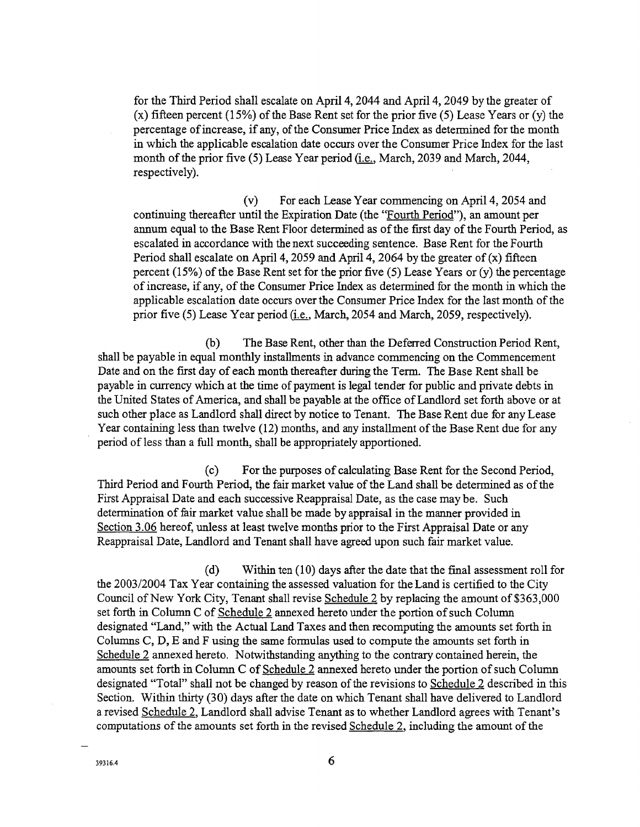for the Third Period shall escalate on April 4, 2044 and April 4, 2049 by the greater of (x) fifteen percent (15%) of the Base Rent set for the prior five (5) Lease Years or (y) the percentage of increase, if any, of the Consumer Price Index as determined for the month in which the applicable escalation date occurs over the Consumer Price Index for the last month of the prior five (5) Lease Year period (i.e., March, 2039 and March, 2044, respectively).

(v) For each Lease Year commencing on April 4, 2054 and continuing thereafter until the Expiration Date (the "Fourth Period"), an amount per annum equal to the Base Rent Floor determined as of the first day of the Fourth Period, as escalated in accordance with the next succeeding sentence. Base Rent for the Fourth Period shall escalate on April 4, 2059 and April 4, 2064 by the greater of  $(x)$  fifteen percent (15%) of the Base Rent set for the prior five (5) Lease Years or (y) the percentage of increase, if any, of the Consumer Price Index as determined for the month in which the applicable escalation date occurs over the Consumer Price Index for the last month of the prior five (5) Lease Year period fi.e., March, 2054 and March, 20*5*9, respectively).

(b) The Base Rent, other than the Deferred Construction Period Rent, shall be payable in equal monthly installments in advance commencing on the Commencement Date and on the first day of each month thereafter during the Term. The Base Rent shall be payable in currency which at the time of payment is legal tender for public and private debts in the United States of America, and shall be payable at the office of Landlord set forth above or at such other place as Landlord shall direct by notice to Tenant. The Base Rent due for any Lease Year containing less than twelve (12) months, and any installment of the Base Rent due for any period of less than a full month, shall be appropriately apportioned.

(c) For the purposes of calculating Base Rent for the Second Period, Third Period and Fourth Period, the fair market value of the Land shall be determined as of the First Appraisal Date and each successive Reappraisal Date, as the case may be. Such determination of fair market value shall be made by appraisal in the manner provided in Section 3.06 hereof, unless at least twelve months prior to the First Appraisal Date or any Reappraisal Date, Landlord and Tenant shall have agreed upon such fair market value.

(d) Within ten (10) days after the date that the final assessment roll for the 2003*/*2004 Tax Year containing the assessed valuation for the Land is certified to the City Council of New York City, Tenant shall revise Schedule 2 by replacing the amount of \$363,000 set forth in Column C of Schedule 2 annexed hereto under the portion of such Column designated "Land," with the Actual *L*and Taxes and then recomputing the amounts set forth in Columns C, D, E and F using the same formulas used to compute the amounts set forth in Schedule 2 annexed hereto. Notwithstanding anything to the contrary contained herein, the amounts set forth in Column C of Schedule 2 annexed hereto under the portion of such Column designated "Total" shall not be changed by reason of the revisions to Schedule 2 described in this Section*.* Within thirty (30) days after the date on which Tenant shall have delivered to Landlord a revised Schedule 2.,Landlord shall advise Tenant as to whether Landlord agrees with Tenant's computations of the amounts set forth in the revised Schedule 2, including the amount of the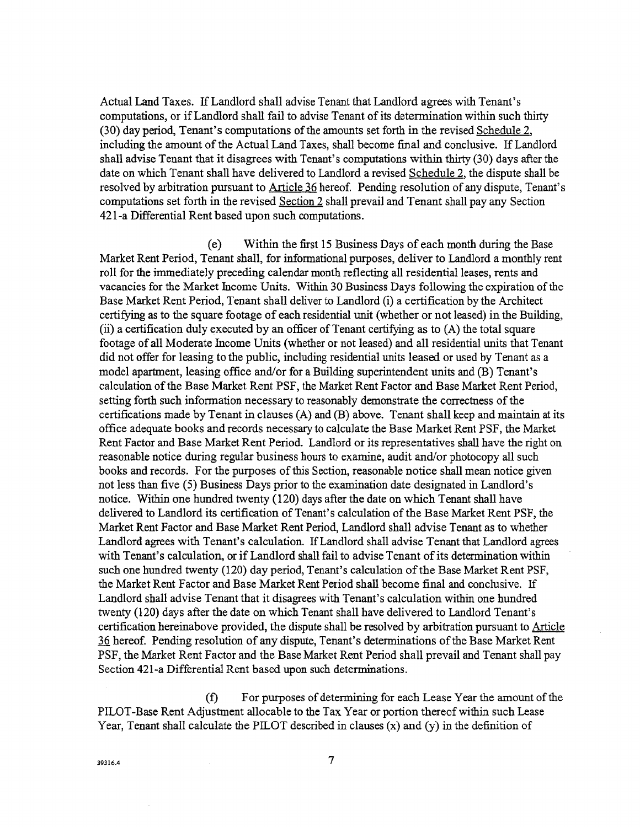Actual Land Taxes. If Landlord shall advise Tenant that Landlord agrees with Tenant's computations, or if *L*andlord shall fail to advise Tenant of its determination within such thirty (30) day period, Tenant's computations of the amounts set forth in the revised Schedule 2, including the amount of the Actual Land Taxes, shall become final and conclusive. If *L*andlord shall advise Tenant that it disagrees with Tenant's computations within thirty (30) days after the date on which Tenant shall have delivered to *L*andlord a revised Schedule 2, the dispute shall be resolved by arbitration pursuant to Article 36 hereof. Pending resolution of any dispute, Tenant's computations set forth in the revised Section 2 shall prevail and Tenant shall pay any Section 421-a Differential Rent based upon such computations.

(e) Within the first 15 Business Days of each month during the Base Market Rent Period, Tenant shall, for informational purposes, deliver to *L*andlord a monthly rent roll for the immediately preceding calendar month reflecting all residential leases, rents and vacancies for the Market Income Units. Within 30 Business Days following the expiration of the Base Market Rent Pe*ri*od, *T*enant shall deliver to *L*andlord (i) a certification by the Architect certifying as to the square footage of each residential unit (whether or not leased) in the Building*,* (ii) a certification duly executed by an officer of Tenant certifying as to (A) the total square footage of all Moderate Income Units (whether or not leased) and all residential units that Tenant did not offer for leasing to the public, including residential units leased or used by Tenant as a model aparmaent*,* leasing office and*/*or for a Building superintendent units and (B) *T*enant's calculation of the Base Market Rent PSF, the Market Rent Factor and Base Market Rent Period, setting forth such information necessary to reasonably demonstrate the correctness of the certifications made by Tenant in clauses (A) and (B) above. Tenant shall keep and maintain atits office adequate books and records necessary to calculate the Base Market Rent PSF, the Market Rent Factor and Base Market Rent Period. Landlord or its representatives shall have the right on reasonable notice during regular business hours to examine, audit and*/*or photocopy all such books and records. For the purposes of this Section, reasonable notice shall mean notice given not less than five (5) Business Days prior to the examination date designated in Landlord's notice. Within one hundred twenty (120) days after the date on which Tenant shall have delivered to Landlord its certification of *T*enant's calculation of the Base Market Rent PSF, the Market Rent Factor and Base Market Rent Period, Landlord shall advise Tenant as to whether Landlord agrees with Tenant's calculation. If Landlord shall advise Tenant that Landlord agrees with Tenant's calculation, or if Landlord shall fail to advise Tenant of its determination within such one hundred twenty (120) day period*,* Tenant's calculation of the Base Market Rent PSF, the Market Rent Factor and Base Market Rent Period shall become final and conclusive. If Landlord shall advise Tenant that it disagrees with Tenant's calculation within one hundred twenty (120) days after the date on which *T*enant shall have delivered to Landlord Tenant's certification hereinabove provided, the dispute shall be resolved by arbitration pursuant to Article 36 hereof. Pending resolution of any dispute, *T*enant's determinations of the Base Market Rent PSF*,* the Market Rent Factor and the Base Market Rent Period shall prevail and *T*enant shall pay Section 421-a Differential Rent based upon such determinations.

(f) For purposes of determining for each Lease Year the amount of the PILOT-B**a**se Rent Adjustment allocable to the Tax Year or portion thereof within such *L*ease Year, Tenant shall calculate the PI*L*OT described in clauses (x) and (y) in the definition of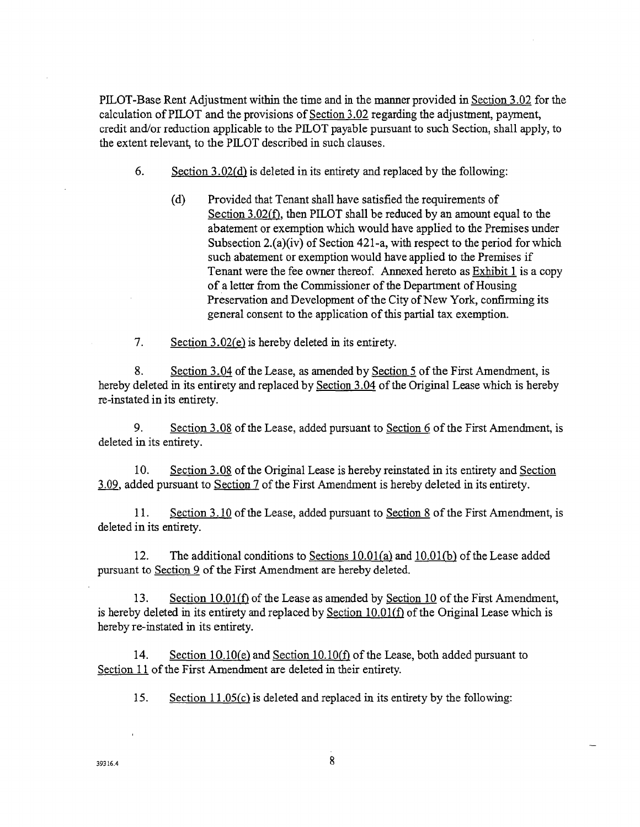PILOT-Base Rent Adjustment within the time and in the manner provided in Section 3.02 for the calculation of PILOT and the provisions of Section 3.02 regarding the adjustment, payment, credit and*/*or reduction applicable to the PILOT payable pursuant to such Section, shall apply*,* to the extent relevant, to the PIL*O*T described in such clauses.

- 6. Section 3.02(d) is deleted in its entirety and replaced by the following:
	- (d) Provided that Tenant shall have satisfied the requirements of Section 3.02(f), then PI*L*OT shall be reduced by an amount equal to the abatement or exemption which would have applied to the Premises under Subsection 2.(a)(iv) of Section 421-a, with respect to the period for which such abatement or exemption would have applied to the Premises if Tenant were the fee owner thereof, Annexed hereto as Exhibit 1 is a copy of a letter from the Commissioner of the Department of Housing Preservation and Development of the City of New York, confirming its general consent to the application of this partial tax exemption.
- 7. Section 3.02*(*e) is hereby deleted in its entirety.

8. Section 3.04 of the Lease, as amended by Section 5 of the First *A*mendment, is hereby deleted in its entirety and replaced by Section 3.04 of the Original Lease which is hereby re-instated in its entirety.

9. Section 3.08 of the Lease, added pursuant to Section 6 of the First Amendment, is deleted in its entirety.

10. Section 3.08 of the Original Lease is hereby reinstated in its entirety and Section 3.09*,* added pursuant to Section 7 of the First Amendment is hereby deleted in its entirety.

11. Section 3.10 of the Lease, add*ed* pursuant to Section 8 of the First Amendment, is deleted in its entirety.

12. The additional conditions to Sections 10.01(a) and 10.01*(b)* of the Lease added pursuant to Section 9 of the First Amendment are hereby deleted.

13. Section 10.01(f) of the Lease as amended by Section 10 of the First Amendment, is hereby deleted in its entirety and replaced by Section 10.01(f) of the Original Lease which is hereby re-instated in its entirety.

14. Section 10.10*(e)* and Section 10.10(f) of the Lease, both added pursuant to Section 11 of the First Amendment are deleted in their entirety.

15. Section 11.05*(*c) is deleted and replaced in its entirety by the following: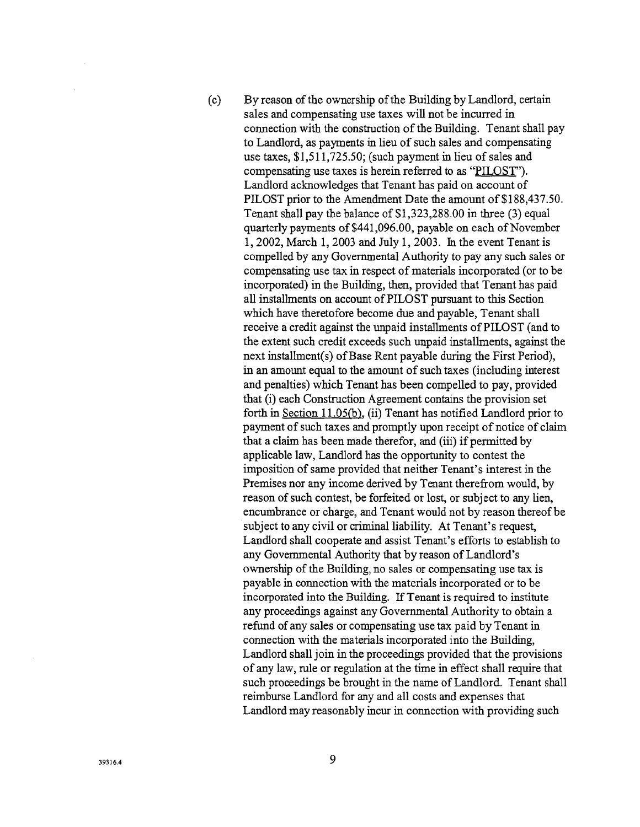(c) By reason of the ownership of the Building by Landlord, certain sales and compensating use taxes will not be incurred in connection with the construction of the Building. Tenant shall pay to Landlord, as payments in lieu of such sales and compensating use taxes, \$1,511,725.50; (such payment in lieu of sales and compensating use taxes is herein referred to as "PILOST"). Landlord acknowledges that Tenant has paid on account of PILOST prior to the Amendment Date the amount of \$188,437.50. Tenant shall pay the balance of \$1,323,288.00 in three (3) equal quarterly payments of \$441,096.00, payable on each of November 1, 2002, March 1, 2003 and July 1, 2003. In the event *T*enant is compelled by any Governmental Authority to pay any such sales or compensating use tax in respect of materials incorporated (or to be incorporated) in the Building, then, provided that Tenant has paid all installments on account of PILOST pursuant to this Section which have theretofore become due and payable, Tenant shall receive a credit against the unpaid installments of PILOST (and to the extent such credit exceeds such unpaid installments, against the next installment(s) of Base Rent payable during the First Period), in an amount equal to the amount of such taxes (including interest and penalties) which *T*enant has been compelled to pay, provided that (i) each Construction Agreement contains the provision set forth in Section 11.05(b), (ii) *T*enant has notified *L*andlord p*ri*or to payment of such taxes and promptly upon receipt of notice of claim that a claim has been made therefor, and (iii) if permitted by applicable law, Landlord has the opportunity to contest the imposition of same provided that neither *T*enant's interest in the Premises nor any income derived by *T*enant therefrom would, by reason of such contest, be forfeited or lost, or subject to any lien, encumbrance or charge, and Tenant would not by reason thereof be subject to any civil or criminal liability. At Tenant's request, Landlord shall cooperate and assist Tenant's efforts to establish to any Governmental Authority that by reason of Landlord's ownership of the Building, no sales or compensating use tax is payable in connection with the materials incorporated or to be incorporated into the Building. If Tenant is required to institute any proceedings against any Governmental Authority to obtain a refund of any sales or compensating use tax paid by Tenant in connection with the materials incorporated into the Building, Landlord shall join in the proceedings provided that the provisions of any law, role or regulation at the time in effect shall require that such proceedings be brought in the name of Landlord. Tenant shall reimburse Landlord for any and all costs and expenses that Landlord may reasonably incur in connection with providing such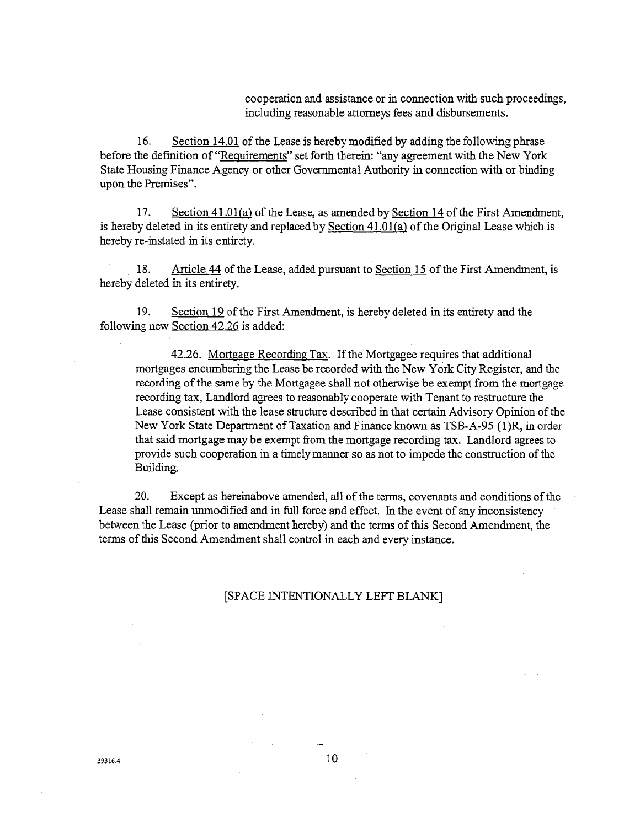cooperation and **a**ssistance or in connection with such proceedings, including reasonable attorneys fees and disbursements.

16. Section 14.01 of the *L*ease is hereby modified by adding t**h**e following ph**r**ase before the definition of "Requirements" set forth therein: "any agreement with the New York State Housing Fina**n**ce Agency or other Gover**n**mental Authority in connection with or binding upon the Premises".

17. Section 41.01 (a) of t**h**e Lease, as amended by Section 14 of the First *A*mendment, is hereby deleted in its entirety and replaced by Section 41.01(a) of the Original Lease which is hereby re-instated in its entirety.

18. Article 44 of the Lease, added pursuant to Section 15 of the First Amendment, is hereby deleted in its entirety.

19. Section 19 of the First Amendment, is hereby deleted in its entirety and the following new Section 42.26 is added:

42.26. Mortgage Recording Tax. If the Mortgagee requires that additional mortgages encumbering the Lease be recorded with the New York City Register, and t**h**e recording of the same by the Mortgagee shall not otherwise be exempt from the mortgage recording tax, Landlord agrees to reasonably cooperate with Tenant to restructure the Lease consistent with the lease structure described in that certain Advisory *O*pin**i**on of the New York State Department of Taxation and Finance known as TSB-*A*-95 (1)R*,* in order that said mortgage may be exempt from the mortgage recording tax. Landlord agrees to provide such cooperation in a timely man**n**er so as not to impede t**h**e construction of the Building.

20. Except as hereinabove amended, all of the terms, covenants and conditions of the Lease shall remain unmodified and in full force and effect. In the event of any inconsistency between the Lease (prior to amendment hereby) and the terms of this Second Amendment, the terms of this Second Amendment shall control in each and every instance.

#### [SPACE INTENTION*A*LLY LEFT BLANK]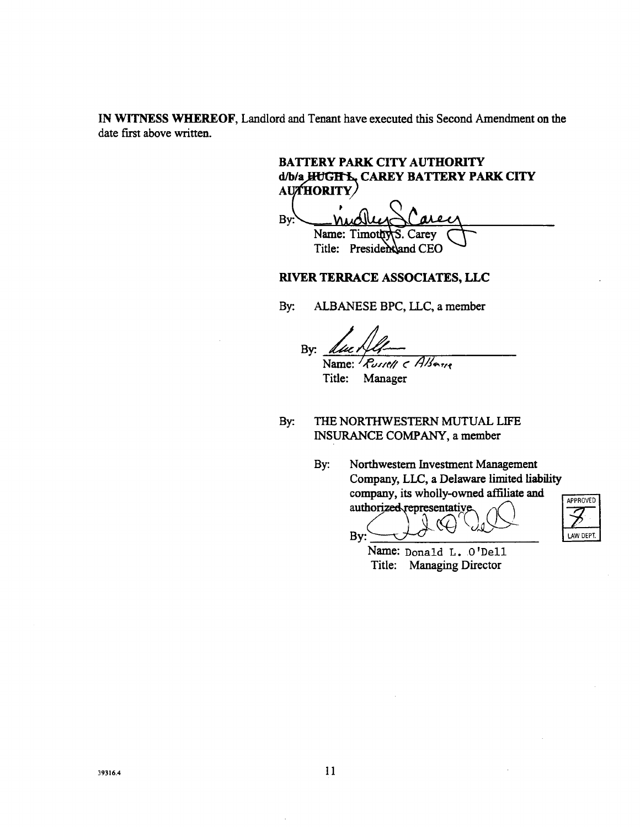IN WITN**E**S**S** W**HE**R**E**O**F**, Landl**o**rd and Te**n**ant have executed this Second Ame**ndm**ent **o**n the date first above written.

**BATTERY PARK C**I**TY AUTHORITY** d/b/a HUGH L, CAREY BATTERY PARK CITY **Ad***/***bL**\_\_ **CAREY BATTERY PARK CITY**

By: Name: Timoth Carev Title: Preside**n**dand CEO

## RI**V**ER TE**R**RACE ASSOCIATES, LLC

By: ALBANESE BPC, LLC, a member

By: Name:*/*.*C*u.*-*z*e/*\_ \_"*/*\_*/g*\_*,+*\_

Title: Manager

By:

B**y**: TH**E N**O**R**THWE**S**T**E**RN MU**TU**A*L* **L**IF**E** INSURAN**C**E COMPANY**, a** membe**r**

> By**:** N**o**rthwes**t**ern In**v**e**s**tme**n**t Mana**g**ement Company**,** LLC**, a** Del**a**wa**r**e limited liabili**ty** company**,** its wholly-owned affili**a**te and authorized representative

APPROVED

LAW DEPT.

Name: Donald L**.** O'Dell **Ti**tle: Man**ag**in**g** Directo**r**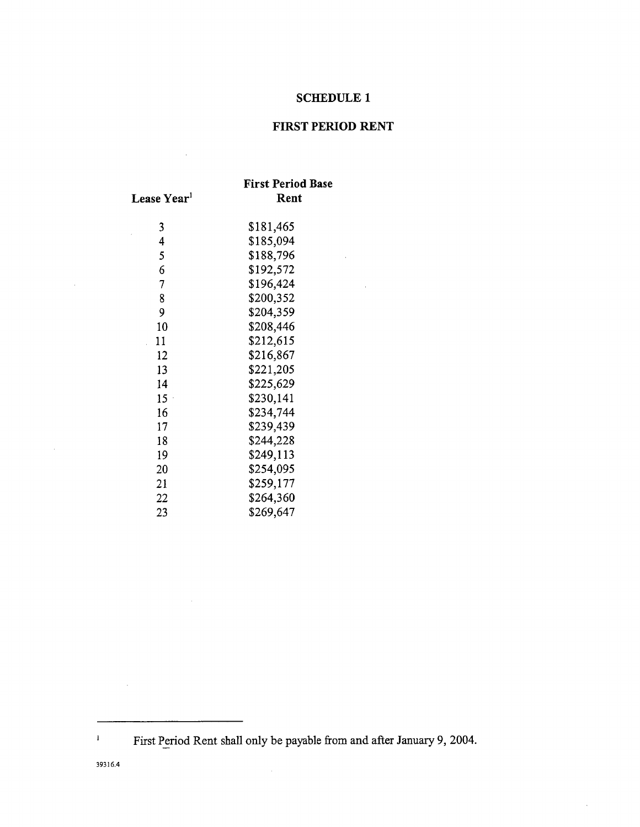## **SCHEDULE 1**

# **FIRST PERIOD RENT**

 $\sim 10^{-11}$ 

 $\hat{\boldsymbol{\beta}}$ 

|                           | <b>First Period Base</b> |
|---------------------------|--------------------------|
| Lease Year <sup>1</sup>   | Rent                     |
| 3                         | \$181,465                |
| 4                         | \$185,094                |
| 5                         | \$188,796                |
| 6                         | \$192,572                |
| 7                         | \$196,424                |
| 8                         | \$200,352                |
| 9                         | \$204,359                |
| 10                        | \$208,446                |
| 11                        | \$212,615                |
| 12                        | \$216,867                |
| 13                        | \$221,205                |
| 14                        | \$225,629                |
| 15<br>$\bar{\phantom{a}}$ | \$230,141                |
| 16                        | \$234,744                |
| 17                        | \$239,439                |
| 18                        | \$244,228                |
| 19                        | \$249,113                |
| 20                        | \$254,095                |
| 21                        | \$259,177                |
| 22                        | \$264,360                |
| 23                        | \$269,647                |

 $\sim$ 

 $\bar{z}$ 

 $\bar{\mathcal{A}}$ 

39316.4

 $\bar{1}$ 

 $\mathcal{A}^{\mathcal{A}}$ 

 $\sim$ 

Period Rent shall only be payable from and after January 9*,* 2004.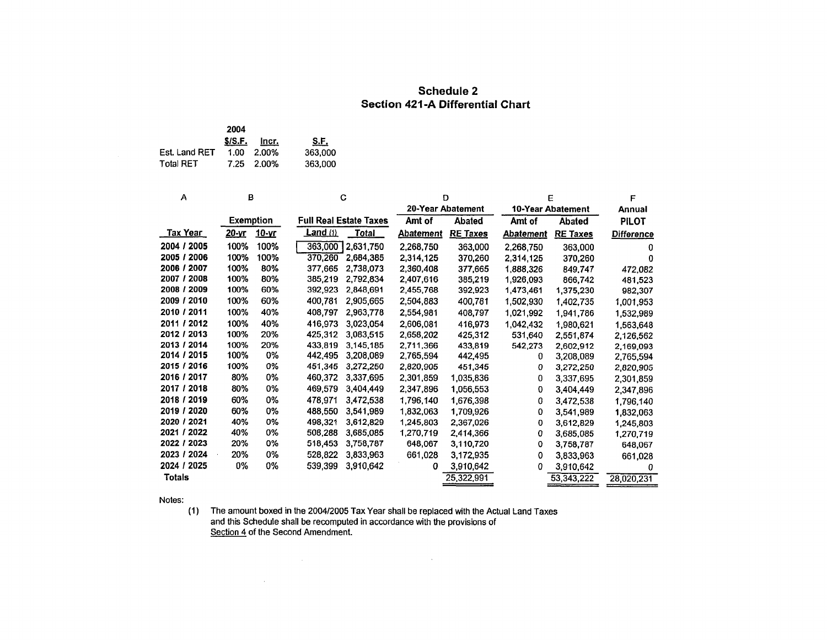## **Schedule 2** Section 421-A Differential Chart

|                  | 2004 |                |             |
|------------------|------|----------------|-------------|
|                  |      | $$/S.F.$ Incr. | <u>S.F.</u> |
| Est. Land RET    |      | 1.00 2.00%     | 363,000     |
| <b>Total RET</b> |      | 7.25 2.00%     | 363.000     |

| A               | в                |              |                   | C                             |                  | D                 |                  | E                 | F                 |
|-----------------|------------------|--------------|-------------------|-------------------------------|------------------|-------------------|------------------|-------------------|-------------------|
|                 |                  |              |                   |                               |                  | 20-Year Abatement |                  | 10-Year Abatement | <b>Annual</b>     |
|                 | <b>Exemption</b> |              |                   | <b>Full Real Estate Taxes</b> | Amt of           | <b>Abated</b>     | Amt of           | Abated            | <b>PILOT</b>      |
| <u>Tax Year</u> | <u>20-vr</u>     | <u>10-vr</u> | <b>Land</b> $(1)$ | <b>Total</b>                  | <b>Abatement</b> | <b>RE Taxes</b>   | <b>Abatement</b> | <b>RE Taxes</b>   | <b>Difference</b> |
| 2004 / 2005     | 100%             | 100%         | 363,000           | 2,631,750                     | 2,268,750        | 363,000           | 2,268,750        | 363,000           | o                 |
| 2005 / 2006     | 100%             | 100%         | 370,260           | 2,684,385                     | 2,314,125        | 370,260           | 2,314,125        | 370,260           | Ω                 |
| 2006 / 2007     | 100%             | 80%          | 377.665           | 2,738,073                     | 2.360.408        | 377,665           | 1,888,326        | 849,747           | 472,082           |
| 2008<br>2007/   | 100%             | 80%          | 385,219           | 2,792,834                     | 2,407.616        | 385,219           | 1,926,093        | 866,742           | 481.523           |
| 2009<br>2008/   | 100%             | 60%          | 392,923           | 2,848,691                     | 2,455,768        | 392,923           | 1,473,461        | 1,375,230         | 982,307           |
| 2009 / 2010     | 100%             | 60%          | 400,781           | 2,905,665                     | 2,504,883        | 400,781           | 1,502,930        | 1,402,735         | 1,001,953         |
| 2010 / 2011     | 100%             | 40%          | 408,797           | 2,963,778                     | 2,554,981        | 408,797           | 1,021,992        | 1,941,786         | 1,532,989         |
| 2011 / 2012     | 100%             | 40%          | 416,973           | 3,023,054                     | 2,606,081        | 416,973           | 1,042,432        | 1,980,621         | 1,563,648         |
| 2012 / 2013     | 100%             | 20%          | 425.312           | 3,083,515                     | 2,658,202        | 425,312           | 531,640          | 2,551,874         | 2,126,562         |
| 2013 / 2014     | 100%             | 20%          | 433,819           | 3.145.185                     | 2.711.366        | 433,819           | 542,273          | 2,602,912         | 2,169,093         |
| 2014 / 2015     | 100%             | 0%           | 442,495           | 3,208,089                     | 2,765,594        | 442,495           | 0                | 3,208,089         | 2,765,594         |
| 2015 / 2016     | 100%             | 0%           | 451,345           | 3,272,250                     | 2,820,905        | 451.345           | 0                | 3,272,250         | 2,820,905         |
| 2016 / 2017     | 80%              | 0%           | 460,372           | 3,337,695                     | 2,301,859        | 1,035,836         | 0                | 3,337,695         | 2,301,859         |
| 2017 /<br>2018  | 80%              | 0%           | 469,579           | 3.404.449                     | 2,347,896        | 1,056,553         | 0                | 3,404,449         | 2,347,896         |
| 2018 / 2019     | 60%              | 0%           | 478,971           | 3,472,538                     | 1,796,140        | 1.676.398         | 0                | 3,472,538         | 1,796,140         |
| 2019 / 2020     | 60%              | 0%           | 488,550           | 3,541,989                     | 1,832,063        | 1,709,926         | 0                | 3,541,989         | 1,832,063         |
| 2020 / 2021     | 40%              | 0%           | 498,321           | 3,612,829                     | 1,245,803        | 2,367,026         | 0                | 3,612,829         | 1,245,803         |
| 2021 / 2022     | 40%              | 0%           | 508,288           | 3,685,085                     | 1,270,719        | 2,414,366         | 0                | 3,685,085         | 1,270,719         |
| 2022 / 2023     | 20%              | 0%           | 518,453           | 3,758,787                     | 648,067          | 3,110,720         | 0                | 3,758,787         | 648,067           |
| 2023 / 2024     | 20%              | 0%           | 528,822           | 3,833,963                     | 661,028          | 3,172,935         | 0                | 3,833,963         | 661,028           |
| 2024 / 2025     | 0%               | 0%           | 539,399           | 3,910,642                     | 0                | 3,910,642         | Ω                | 3,910,642         | 0                 |
| <b>Totals</b>   |                  |              |                   |                               |                  | 25,322,991        |                  | 53,343,222        | 28,020,231        |

Notes:

(1) The amount boxed in the 2004/2005 Tax Year shall be replaced with the Actual Land Taxes and this Schedule shall be recomputed in accordance with the provisions of Section 4 of the Second Amendment.

 $\mathcal{L}^{\mathcal{L}}(\mathcal{L}^{\mathcal{L}})$  and the contract of the contract of the contract of the contract of the contract of the contract of the contract of the contract of the contract of the contract of the contract of the contrac

 $\sim 10^{11}$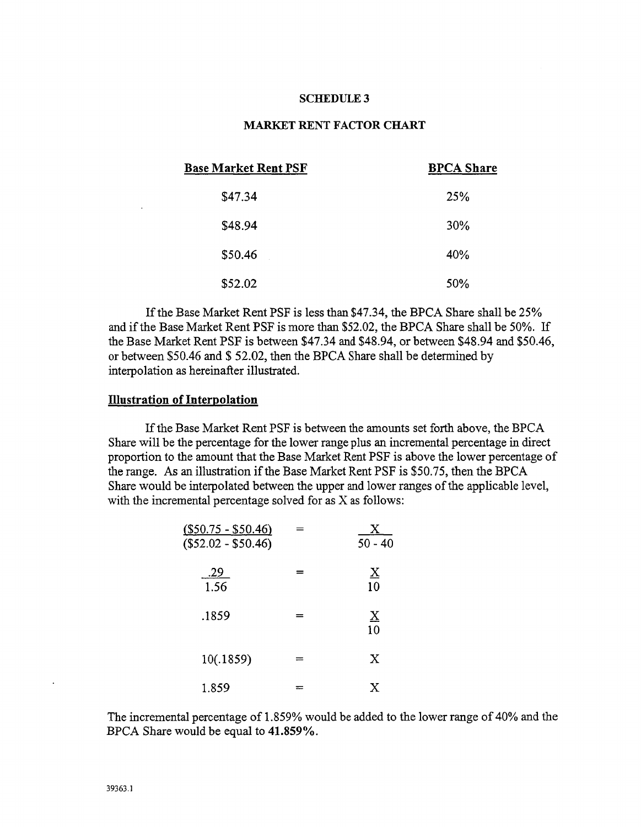#### **S**C**HF**\_**DULE**3

## **MARKET RENT F**AC**TOR** C**H**A**RT**

| <b>Base Market Rent PSF</b> | <b>BPCA Share</b> |
|-----------------------------|-------------------|
| \$47.34                     | 25%               |
| \$48.94                     | 30%               |
| \$50.46                     | 40%               |
| \$52.02                     | 50%               |

If the Base Market Rent PSF is less than \$47.34, the BPCA Share shall be 25% and if the Base Market Rent PSF is more than \$52.02, the BPCA Share shall be 50%. If the Base Market Rent PSF is between \$47.34 and \$48.94, or between \$48.94 and \$50.46, or between \$50.46 and \$ 52.02, then the BPCA Share shall be determined by interpolation as hereinafter illustrated.

#### Ill**ustration of Interpolation**

If the Base Market Rent PSF is between the amounts set forth above, the BPCA Share will be the percentage for the lower range plus an incremental percentage in direct proportion to the amount that the Base Market Rent PSF is above the lower percentage of the range. *A*s an illustration if the Base Market Rent PSF is \$50.75*,* then the BPCA Share would be interpolated between the upper and lower ranges of the applicable level, with the incremental percentage solved for as X as follows:

| <u>(\$50.75 - \$50.46)</u><br>$($52.02 - $50.46)$ | Y<br>$50 - 40$                     |
|---------------------------------------------------|------------------------------------|
| $\frac{.29}{1.56}$                                | $\underline{X}$<br>$\overline{10}$ |
| .1859                                             | $\underline{X}$<br>10              |
| 10(.1859)                                         | X                                  |
| 1.859                                             | X                                  |

The incremental percentage of 1.859% wou**l**d be added to the lower range of 40% and the BPC*A* Share would be equal to 41.859%.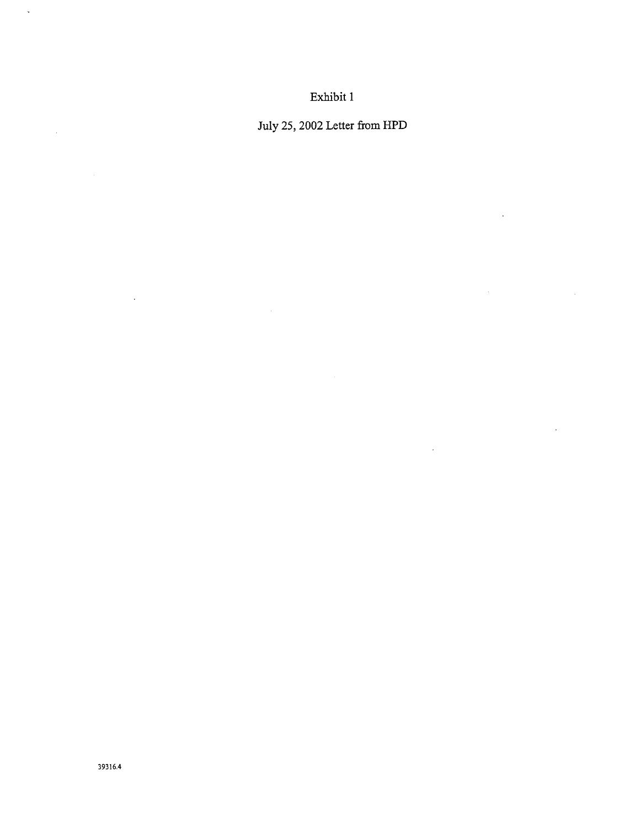Exhibit 1

July 25, 2002 Letter from HPD

 $\mathcal{A}^{\pm}$ 

 $\ddot{\phantom{0}}$ 

 $\epsilon$ 

 $\sim$ 

 $\bar{z}$ 

 $\hat{\mathbf{v}}$ 

 $\mathcal{A}^{\mathcal{A}}$ 

 $\mathcal{A}^{\mathcal{A}}$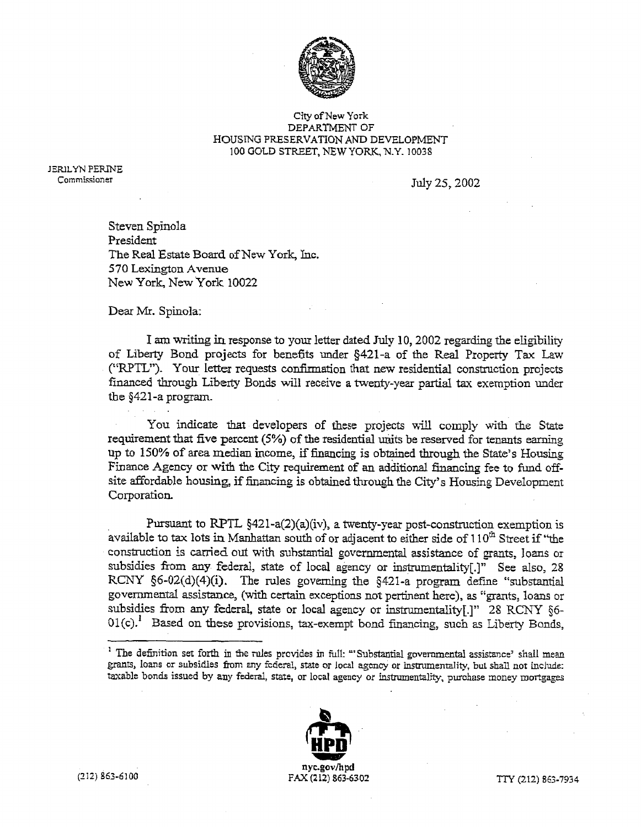

#### C\_ty of New York DEPARTMENT OF **H**OUSING PRESERVATION AND DEVELOPMENT 100 GOLD STREET, NEW YORK\_ N.Y. 10038

JERILYN PERINE

Commi.\_sioner July 25*,* 2002

Steven Spinola President The Real Estate Board of New Y**o**rk*,* I*n*c. 570 Lexington Avenue New York, New York 10022

Dear Mr. Spi*n*ola:

I am writing in response to your letter dated July 10, 2002 regarding the eligibility of Liberty Bond pr**o**jects for benefits u*n*der §421-a of t**h**e Real Property Ta*n* Law ("RP**T**L"). Your letter requests co*n*firmation that new residential construction projects fi*n*a*n*ced throu@\_ Liberty Bonds will receive a twenty-*y*ear partial tax exemption u*n*der the §421-a progra*m*.

You indicate that developers of these projects will comply with the State requirement that five percent (5%) of the residential units be reserved for tenants earning up to 150% of area median i*n*come, if fina*n*ci*n*g is obtai*n*ed through the State's Housi*n*g Fi*n*ance Agency or with the City requirement of an additional fi*n*a*n*ci*n*g fee to fu*n*d offsize affordable housi*n*g, if financing is obtained t**h**rough the City's Housing Developme*n*t Corporatio*n***.**

Pursua*n*t to RP*T*L §421-a(2)(a)(iv), a twenty-year post-co*n*struction exemption is available to tax lots in Manhattan south of or adjacent to either side of 110<sup>th</sup> Street if "the co**n***s*tructio*n* is carried out wit**h** substantial gover*n*mental a*s*sista*n*ce of grants, loans or subsidies from a*n*y federal*,* stat*e* of local age*n*cy or instrumentality[.]" See also, 28 RCNY §6-02(d)(4)(i). The rules governing the §421-a program define "substantial governmental assistance, (with certain exceptions not pertinent here), as "grants, loans or subsidies from any federal, state or local agency or instrumentality[.]" 28 RCNY §6-01(c).<sup>1</sup> Based on these provisions, tax-exempt bond financing, such as Liberty Bonds,

<sup>&</sup>lt;sup>1</sup> The definition set forth in the rules provides in full: "'Substantial governmental assistance' shall mean grants, loans or subsidies from any federal, state or local agency or instrumentality, but shall not include: laxable bonds issued by any *federal*, state, or local agency or instrumentality, purchase money mortgages